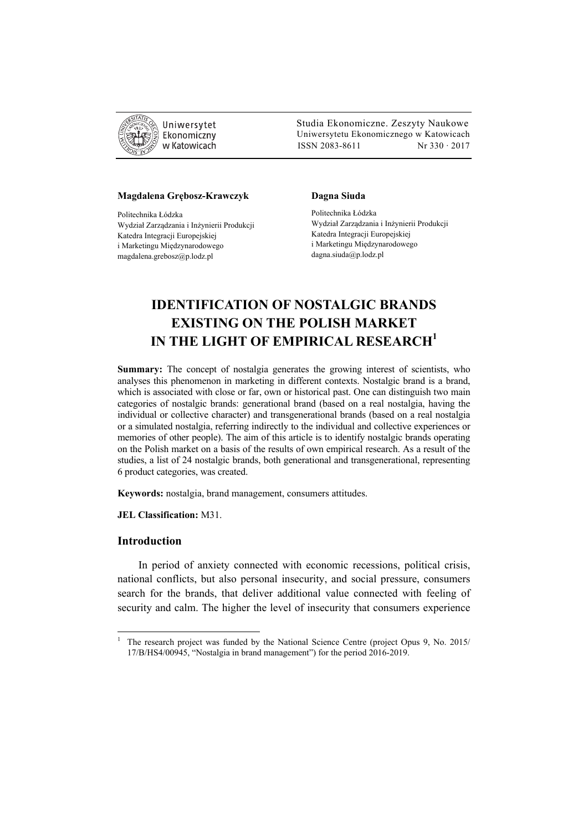

 Studia Ekonomiczne. Zeszyty Naukowe Uniwersytetu Ekonomicznego w Katowicach w Katowicach Matsus 2083-8611 Nr 330 · 2017

#### **Magdalena Grębosz-Krawczyk**

Politechnika Łódzka Wydział Zarządzania i Inżynierii Produkcji Katedra Integracji Europejskiej i Marketingu Międzynarodowego magdalena.grebosz@p.lodz.pl

#### **Dagna Siuda**

Politechnika Łódzka Wydział Zarządzania i Inżynierii Produkcji Katedra Integracji Europejskiej i Marketingu Międzynarodowego dagna.siuda@p.lodz.pl

# **IDENTIFICATION OF NOSTALGIC BRANDS EXISTING ON THE POLISH MARKET IN THE LIGHT OF EMPIRICAL RESEARCH1**

**Summary:** The concept of nostalgia generates the growing interest of scientists, who analyses this phenomenon in marketing in different contexts. Nostalgic brand is a brand, which is associated with close or far, own or historical past. One can distinguish two main categories of nostalgic brands: generational brand (based on a real nostalgia, having the individual or collective character) and transgenerational brands (based on a real nostalgia or a simulated nostalgia, referring indirectly to the individual and collective experiences or memories of other people). The aim of this article is to identify nostalgic brands operating on the Polish market on a basis of the results of own empirical research. As a result of the studies, a list of 24 nostalgic brands, both generational and transgenerational, representing 6 product categories, was created.

**Keywords:** nostalgia, brand management, consumers attitudes.

**JEL Classification:** M31.

## **Introduction**

 $\overline{a}$ 

In period of anxiety connected with economic recessions, political crisis, national conflicts, but also personal insecurity, and social pressure, consumers search for the brands, that deliver additional value connected with feeling of security and calm. The higher the level of insecurity that consumers experience

<sup>1</sup> The research project was funded by the National Science Centre (project Opus 9, No. 2015/ 17/B/HS4/00945, "Nostalgia in brand management") for the period 2016-2019.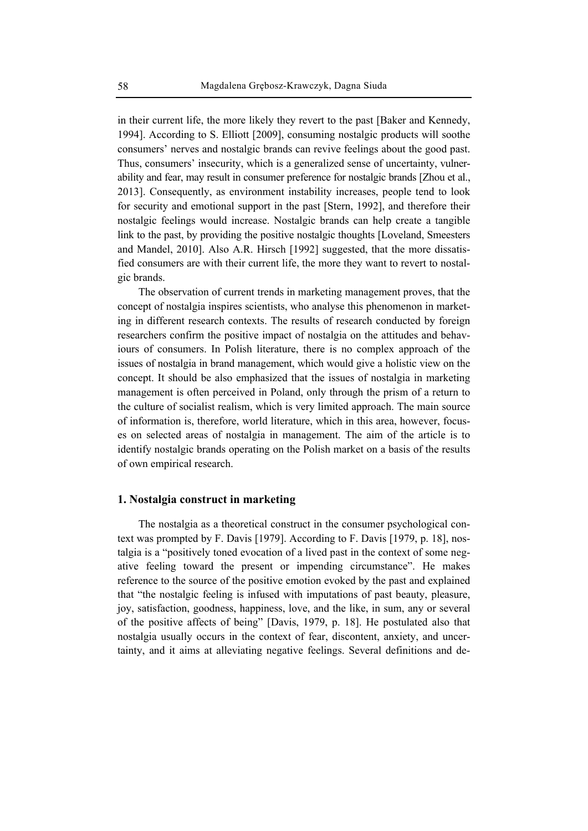in their current life, the more likely they revert to the past [Baker and Kennedy, 1994]. According to S. Elliott [2009], consuming nostalgic products will soothe consumers' nerves and nostalgic brands can revive feelings about the good past. Thus, consumers' insecurity, which is a generalized sense of uncertainty, vulnerability and fear, may result in consumer preference for nostalgic brands [Zhou et al., 2013]. Consequently, as environment instability increases, people tend to look for security and emotional support in the past [Stern, 1992], and therefore their nostalgic feelings would increase. Nostalgic brands can help create a tangible link to the past, by providing the positive nostalgic thoughts [Loveland, Smeesters and Mandel, 2010]. Also A.R. Hirsch [1992] suggested, that the more dissatisfied consumers are with their current life, the more they want to revert to nostalgic brands.

The observation of current trends in marketing management proves, that the concept of nostalgia inspires scientists, who analyse this phenomenon in marketing in different research contexts. The results of research conducted by foreign researchers confirm the positive impact of nostalgia on the attitudes and behaviours of consumers. In Polish literature, there is no complex approach of the issues of nostalgia in brand management, which would give a holistic view on the concept. It should be also emphasized that the issues of nostalgia in marketing management is often perceived in Poland, only through the prism of a return to the culture of socialist realism, which is very limited approach. The main source of information is, therefore, world literature, which in this area, however, focuses on selected areas of nostalgia in management. The aim of the article is to identify nostalgic brands operating on the Polish market on a basis of the results of own empirical research.

## **1. Nostalgia construct in marketing**

The nostalgia as a theoretical construct in the consumer psychological context was prompted by F. Davis [1979]. According to F. Davis [1979, p. 18], nostalgia is a "positively toned evocation of a lived past in the context of some negative feeling toward the present or impending circumstance". He makes reference to the source of the positive emotion evoked by the past and explained that "the nostalgic feeling is infused with imputations of past beauty, pleasure, joy, satisfaction, goodness, happiness, love, and the like, in sum, any or several of the positive affects of being" [Davis, 1979, p. 18]. He postulated also that nostalgia usually occurs in the context of fear, discontent, anxiety, and uncertainty, and it aims at alleviating negative feelings. Several definitions and de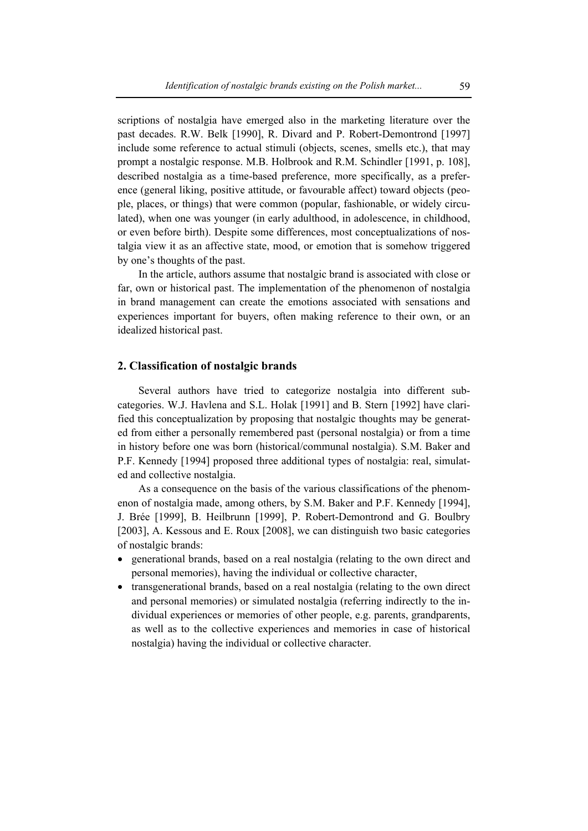scriptions of nostalgia have emerged also in the marketing literature over the past decades. R.W. Belk [1990], R. Divard and P. Robert-Demontrond [1997] include some reference to actual stimuli (objects, scenes, smells etc.), that may prompt a nostalgic response. M.B. Holbrook and R.M. Schindler [1991, p. 108], described nostalgia as a time-based preference, more specifically, as a preference (general liking, positive attitude, or favourable affect) toward objects (people, places, or things) that were common (popular, fashionable, or widely circulated), when one was younger (in early adulthood, in adolescence, in childhood, or even before birth). Despite some differences, most conceptualizations of nostalgia view it as an affective state, mood, or emotion that is somehow triggered by one's thoughts of the past.

In the article, authors assume that nostalgic brand is associated with close or far, own or historical past. The implementation of the phenomenon of nostalgia in brand management can create the emotions associated with sensations and experiences important for buyers, often making reference to their own, or an idealized historical past.

## **2. Classification of nostalgic brands**

Several authors have tried to categorize nostalgia into different subcategories. W.J. Havlena and S.L. Holak [1991] and B. Stern [1992] have clarified this conceptualization by proposing that nostalgic thoughts may be generated from either a personally remembered past (personal nostalgia) or from a time in history before one was born (historical/communal nostalgia). S.M. Baker and P.F. Kennedy [1994] proposed three additional types of nostalgia: real, simulated and collective nostalgia.

As a consequence on the basis of the various classifications of the phenomenon of nostalgia made, among others, by S.M. Baker and P.F. Kennedy [1994], J. Brée [1999], B. Heilbrunn [1999], P. Robert-Demontrond and G. Boulbry [2003], A. Kessous and E. Roux [2008], we can distinguish two basic categories of nostalgic brands:

- generational brands, based on a real nostalgia (relating to the own direct and personal memories), having the individual or collective character,
- transgenerational brands, based on a real nostalgia (relating to the own direct and personal memories) or simulated nostalgia (referring indirectly to the individual experiences or memories of other people, e.g. parents, grandparents, as well as to the collective experiences and memories in case of historical nostalgia) having the individual or collective character.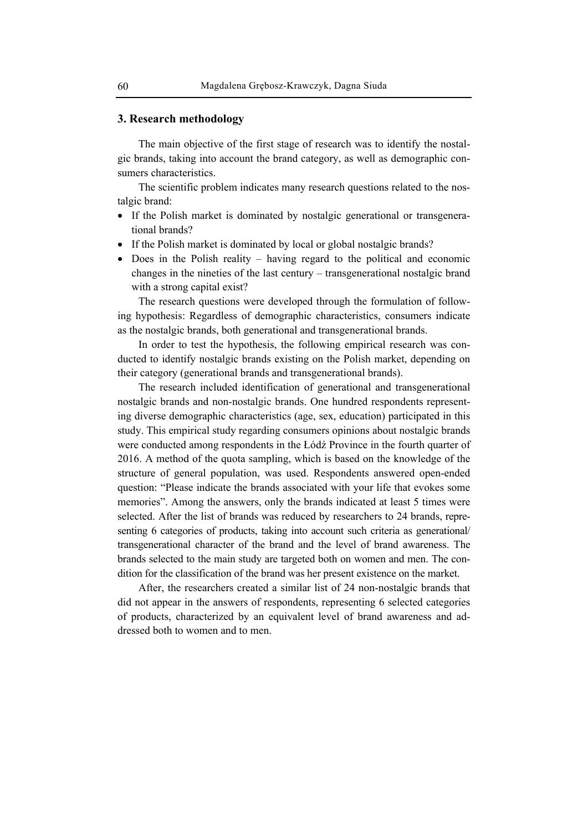## **3. Research methodology**

The main objective of the first stage of research was to identify the nostalgic brands, taking into account the brand category, as well as demographic consumers characteristics.

The scientific problem indicates many research questions related to the nostalgic brand:

- If the Polish market is dominated by nostalgic generational or transgenerational brands?
- If the Polish market is dominated by local or global nostalgic brands?
- Does in the Polish reality having regard to the political and economic changes in the nineties of the last century – transgenerational nostalgic brand with a strong capital exist?

The research questions were developed through the formulation of following hypothesis: Regardless of demographic characteristics, consumers indicate as the nostalgic brands, both generational and transgenerational brands.

In order to test the hypothesis, the following empirical research was conducted to identify nostalgic brands existing on the Polish market, depending on their category (generational brands and transgenerational brands).

The research included identification of generational and transgenerational nostalgic brands and non-nostalgic brands. One hundred respondents representing diverse demographic characteristics (age, sex, education) participated in this study. This empirical study regarding consumers opinions about nostalgic brands were conducted among respondents in the Łódź Province in the fourth quarter of 2016. A method of the quota sampling, which is based on the knowledge of the structure of general population, was used. Respondents answered open-ended question: "Please indicate the brands associated with your life that evokes some memories". Among the answers, only the brands indicated at least 5 times were selected. After the list of brands was reduced by researchers to 24 brands, representing 6 categories of products, taking into account such criteria as generational/ transgenerational character of the brand and the level of brand awareness. The brands selected to the main study are targeted both on women and men. The condition for the classification of the brand was her present existence on the market.

After, the researchers created a similar list of 24 non-nostalgic brands that did not appear in the answers of respondents, representing 6 selected categories of products, characterized by an equivalent level of brand awareness and addressed both to women and to men.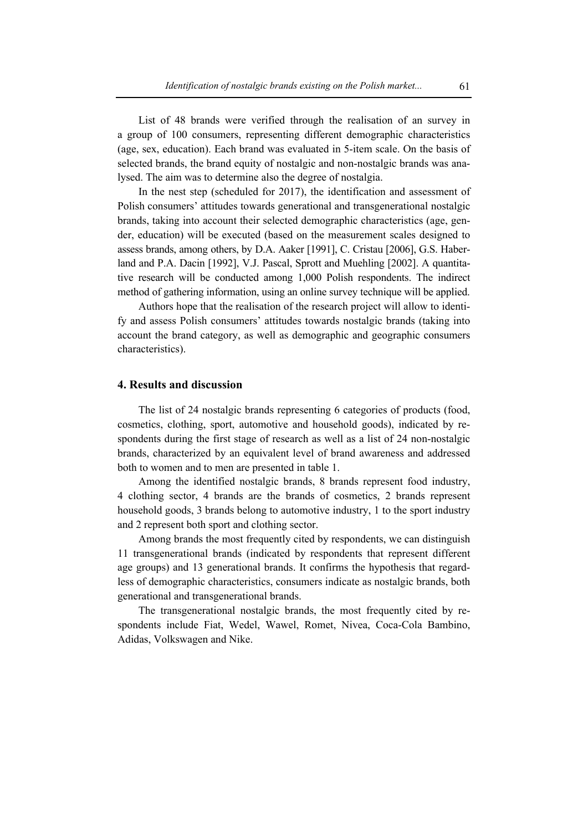List of 48 brands were verified through the realisation of an survey in a group of 100 consumers, representing different demographic characteristics (age, sex, education). Each brand was evaluated in 5-item scale. On the basis of selected brands, the brand equity of nostalgic and non-nostalgic brands was analysed. The aim was to determine also the degree of nostalgia.

In the nest step (scheduled for 2017), the identification and assessment of Polish consumers' attitudes towards generational and transgenerational nostalgic brands, taking into account their selected demographic characteristics (age, gender, education) will be executed (based on the measurement scales designed to assess brands, among others, by D.A. Aaker [1991], C. Cristau [2006], G.S. Haberland and P.A. Dacin [1992], V.J. Pascal, Sprott and Muehling [2002]. A quantitative research will be conducted among 1,000 Polish respondents. The indirect method of gathering information, using an online survey technique will be applied.

Authors hope that the realisation of the research project will allow to identify and assess Polish consumers' attitudes towards nostalgic brands (taking into account the brand category, as well as demographic and geographic consumers characteristics).

# **4. Results and discussion**

The list of 24 nostalgic brands representing 6 categories of products (food, cosmetics, clothing, sport, automotive and household goods), indicated by respondents during the first stage of research as well as a list of 24 non-nostalgic brands, characterized by an equivalent level of brand awareness and addressed both to women and to men are presented in table 1.

Among the identified nostalgic brands, 8 brands represent food industry, 4 clothing sector, 4 brands are the brands of cosmetics, 2 brands represent household goods, 3 brands belong to automotive industry, 1 to the sport industry and 2 represent both sport and clothing sector.

Among brands the most frequently cited by respondents, we can distinguish 11 transgenerational brands (indicated by respondents that represent different age groups) and 13 generational brands. It confirms the hypothesis that regardless of demographic characteristics, consumers indicate as nostalgic brands, both generational and transgenerational brands.

The transgenerational nostalgic brands, the most frequently cited by respondents include Fiat, Wedel, Wawel, Romet, Nivea, Coca-Cola Bambino, Adidas, Volkswagen and Nike.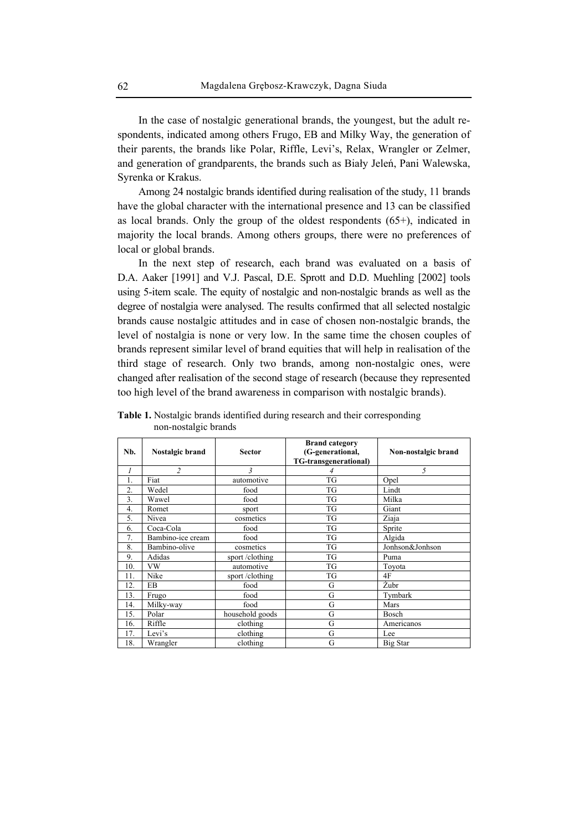In the case of nostalgic generational brands, the youngest, but the adult respondents, indicated among others Frugo, EB and Milky Way, the generation of their parents, the brands like Polar, Riffle, Levi's, Relax, Wrangler or Zelmer, and generation of grandparents, the brands such as Biały Jeleń, Pani Walewska, Syrenka or Krakus.

Among 24 nostalgic brands identified during realisation of the study, 11 brands have the global character with the international presence and 13 can be classified as local brands. Only the group of the oldest respondents (65+), indicated in majority the local brands. Among others groups, there were no preferences of local or global brands.

In the next step of research, each brand was evaluated on a basis of D.A. Aaker [1991] and V.J. Pascal, D.E. Sprott and D.D. Muehling [2002] tools using 5-item scale. The equity of nostalgic and non-nostalgic brands as well as the degree of nostalgia were analysed. The results confirmed that all selected nostalgic brands cause nostalgic attitudes and in case of chosen non-nostalgic brands, the level of nostalgia is none or very low. In the same time the chosen couples of brands represent similar level of brand equities that will help in realisation of the third stage of research. Only two brands, among non-nostalgic ones, were changed after realisation of the second stage of research (because they represented too high level of the brand awareness in comparison with nostalgic brands).

| Nb. | Nostalgic brand   | <b>Sector</b>   | <b>Brand category</b><br>(G-generational,<br>TG-transgenerational) | Non-nostalgic brand |
|-----|-------------------|-----------------|--------------------------------------------------------------------|---------------------|
| 1   | $\overline{c}$    | 3               | 4                                                                  | 5                   |
| 1.  | Fiat              | automotive      | <b>TG</b>                                                          | Opel                |
| 2.  | Wedel             | food            | TG                                                                 | Lindt               |
| 3.  | Wawel             | food            | TG                                                                 | Milka               |
| 4.  | Romet             | sport           | <b>TG</b>                                                          | Giant               |
| 5.  | Nivea             | cosmetics       | <b>TG</b>                                                          | Ziaja               |
| 6.  | Coca-Cola         | food            | TG                                                                 | Sprite              |
| 7.  | Bambino-ice cream | food            | TG                                                                 | Algida              |
| 8.  | Bambino-olive     | cosmetics       | TG                                                                 | Jonhson&Jonhson     |
| 9.  | Adidas            | sport/clothing  | TG                                                                 | Puma                |
| 10. | <b>VW</b>         | automotive      | TG                                                                 | Toyota              |
| 11. | Nike              | sport/clothing  | TG                                                                 | 4F                  |
| 12. | EB                | food            | G                                                                  | Żubr                |
| 13. | Frugo             | food            | G                                                                  | Tymbark             |
| 14. | Milky-way         | food            | G                                                                  | Mars                |
| 15. | Polar             | household goods | G                                                                  | Bosch               |
| 16. | Riffle            | clothing        | G                                                                  | Americanos          |
| 17. | Levi's            | clothing        | G                                                                  | Lee                 |
| 18. | Wrangler          | clothing        | G                                                                  | Big Star            |

**Table 1.** Nostalgic brands identified during research and their corresponding non-nostalgic brands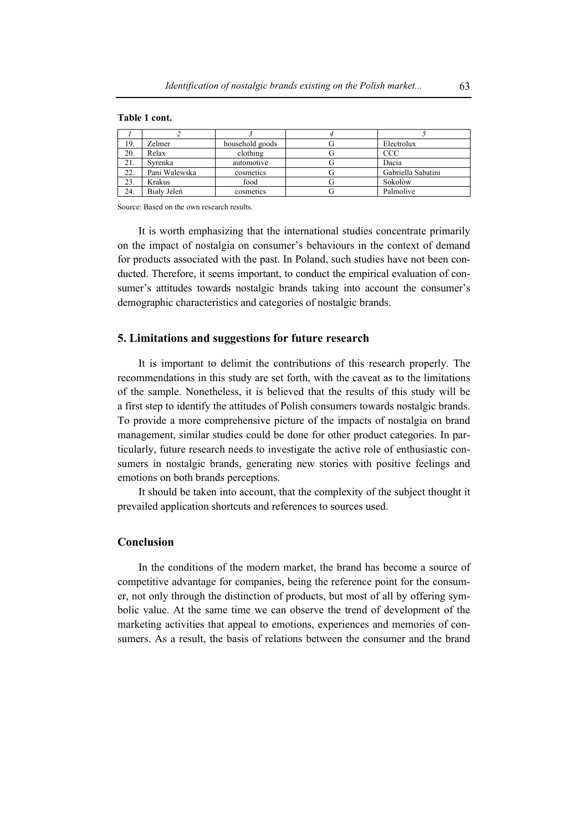#### **Table 1 cont.**

| 19. | Zelmer        | household goods | Electrolux         |
|-----|---------------|-----------------|--------------------|
| 20. | Relax         | clothing        | <b>CCC</b>         |
| 21. | Svrenka       | automotive      | Dacia              |
| 22. | Pani Walewska | cosmetics       | Gabriella Sabatini |
| 23. | Krakus        | food            | Sokołów            |
| 24. | Biały Jeleń   | cosmetics       | Palmolive          |

Source: Based on the own research results.

It is worth emphasizing that the international studies concentrate primarily on the impact of nostalgia on consumer's behaviours in the context of demand for products associated with the past. In Poland, such studies have not been conducted. Therefore, it seems important, to conduct the empirical evaluation of consumer's attitudes towards nostalgic brands taking into account the consumer's demographic characteristics and categories of nostalgic brands.

#### **5. Limitations and suggestions for future research**

It is important to delimit the contributions of this research properly. The recommendations in this study are set forth, with the caveat as to the limitations of the sample. Nonetheless, it is believed that the results of this study will be a first step to identify the attitudes of Polish consumers towards nostalgic brands. To provide a more comprehensive picture of the impacts of nostalgia on brand management, similar studies could be done for other product categories. In particularly, future research needs to investigate the active role of enthusiastic consumers in nostalgic brands, generating new stories with positive feelings and emotions on both brands perceptions.

It should be taken into account, that the complexity of the subject thought it prevailed application shortcuts and references to sources used.

# **Conclusion**

In the conditions of the modern market, the brand has become a source of competitive advantage for companies, being the reference point for the consumer, not only through the distinction of products, but most of all by offering symbolic value. At the same time we can observe the trend of development of the marketing activities that appeal to emotions, experiences and memories of consumers. As a result, the basis of relations between the consumer and the brand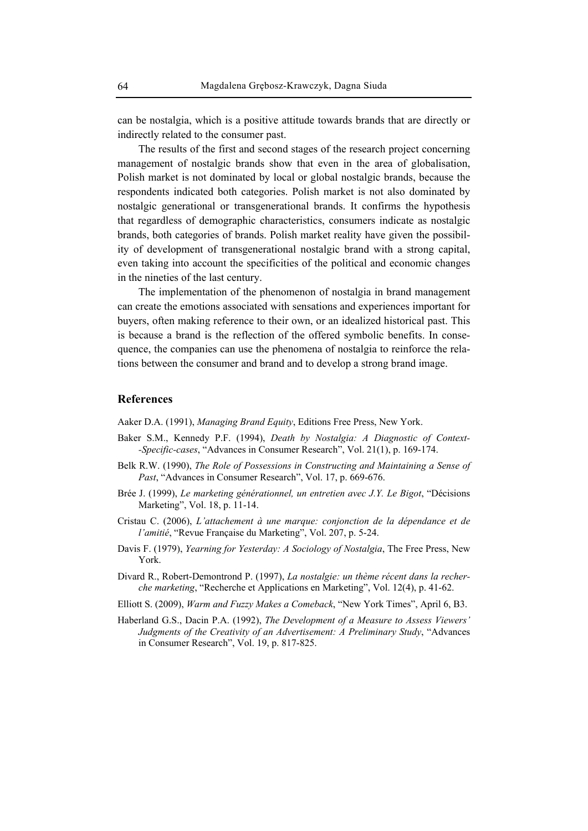can be nostalgia, which is a positive attitude towards brands that are directly or indirectly related to the consumer past.

The results of the first and second stages of the research project concerning management of nostalgic brands show that even in the area of globalisation, Polish market is not dominated by local or global nostalgic brands, because the respondents indicated both categories. Polish market is not also dominated by nostalgic generational or transgenerational brands. It confirms the hypothesis that regardless of demographic characteristics, consumers indicate as nostalgic brands, both categories of brands. Polish market reality have given the possibility of development of transgenerational nostalgic brand with a strong capital, even taking into account the specificities of the political and economic changes in the nineties of the last century.

The implementation of the phenomenon of nostalgia in brand management can create the emotions associated with sensations and experiences important for buyers, often making reference to their own, or an idealized historical past. This is because a brand is the reflection of the offered symbolic benefits. In consequence, the companies can use the phenomena of nostalgia to reinforce the relations between the consumer and brand and to develop a strong brand image.

# **References**

Aaker D.A. (1991), *Managing Brand Equity*, Editions Free Press, New York.

- Baker S.M., Kennedy P.F. (1994), *Death by Nostalgia: A Diagnostic of Context- -Specific-cases*, "Advances in Consumer Research", Vol. 21(1), p. 169-174.
- Belk R.W. (1990), *The Role of Possessions in Constructing and Maintaining a Sense of Past*, "Advances in Consumer Research", Vol. 17, p. 669-676.
- Brée J. (1999), *Le marketing générationnel, un entretien avec J.Y. Le Bigot*, "Décisions Marketing", Vol. 18, p. 11-14.
- Cristau C. (2006), *L'attachement à une marque: conjonction de la dépendance et de l'amitié*, "Revue Française du Marketing", Vol. 207, p. 5-24.
- Davis F. (1979), *Yearning for Yesterday: A Sociology of Nostalgia*, The Free Press, New York.
- Divard R., Robert-Demontrond P. (1997), *La nostalgie: un thème récent dans la recherche marketing*, "Recherche et Applications en Marketing", Vol. 12(4), p. 41-62.
- Elliott S. (2009), *Warm and Fuzzy Makes a Comeback*, "New York Times", April 6, B3.
- Haberland G.S., Dacin P.A. (1992), *The Development of a Measure to Assess Viewers' Judgments of the Creativity of an Advertisement: A Preliminary Study*, "Advances in Consumer Research", Vol. 19, p. 817-825.